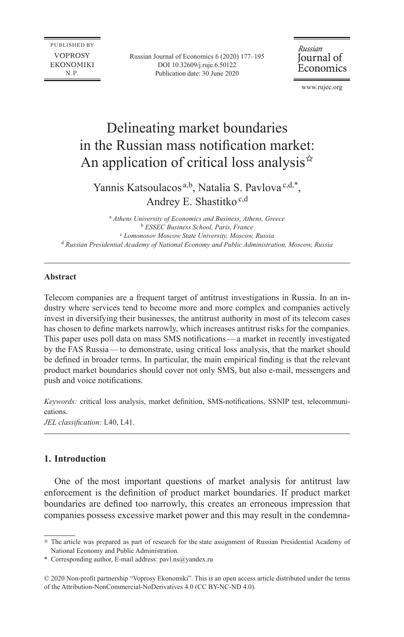PUBLISHED BY **VOPROSY EKONOMIKI**  $N.P.$ 

Russian Journal of Economics 6 (2020) 177–195 DOI [10.32609/j.ruje.6.50122](https://doi.org/10.32609/j.ruje.6.50122) Publication date: 30 June 2020

Russian Journal of Economics

www.rujec.org

# Delineating market boundaries in the Russian mass notification market: An application of critical loss analysis $\hat{z}$

Yannis Katsoulacos<sup>a,b</sup>, Natalia S. Pavlova<sup>c,d,\*</sup>, Andrey E. Shastitko<sup>c,d</sup>

a  *Athens University of Economics and Business, Athens, Greece* <sup>b</sup> *ESSEC Business School, Paris, France* c  *Lomonosov Moscow State University, Moscow, Russia* <sup>d</sup> *Russian Presidential Academy of National Economy and Public Administration, Moscow, Russia*

#### **Abstract**

Telecom companies are a frequent target of antitrust investigations in Russia. In an in‑ dustry where services tend to become more and more complex and companies actively invest in diversifying their businesses, the antitrust authority in most of its telecom cases has chosen to define markets narrowly, which increases antitrust risks for the companies. This paper uses poll data on mass SMS notifications—a market in recently investigated by the FAS Russia—to demonstrate, using critical loss analysis, that the market should be defined in broader terms. In particular, the main empirical finding is that the relevant product market boundaries should cover not only SMS, but also e‑mail, messengers and push and voice notifications.

*Keywords:* critical loss analysis, market definition, SMS-notifications, SSNIP test, telecommunications.

*JEL classification:* L40, L41.

## **1. Introduction**

One of the most important questions of market analysis for antitrust law enforcement is the definition of product market boundaries. If product market boundaries are defined too narrowly, this creates an erroneous impression that companies possess excessive market power and this may result in the condemna-

<sup>✩</sup>  The article was prepared as part of research for the state assignment of Russian Presidential Academy of National Economy and Public Administration.

<sup>\*</sup> Corresponding author, E-mail address: [pavl.ns@yandex.ru](mailto:pavl.ns@yandex.ru)

<sup>© 2020</sup> Non-profit partnership "Voprosy Ekonomiki". This is an open access article distributed under the terms of the [Attribution-NonCommercial-NoDerivatives 4.0 \(CC BY-NC-ND 4.0\)](http://creativecommons.org/licenses/by-nc-nd/4.0/).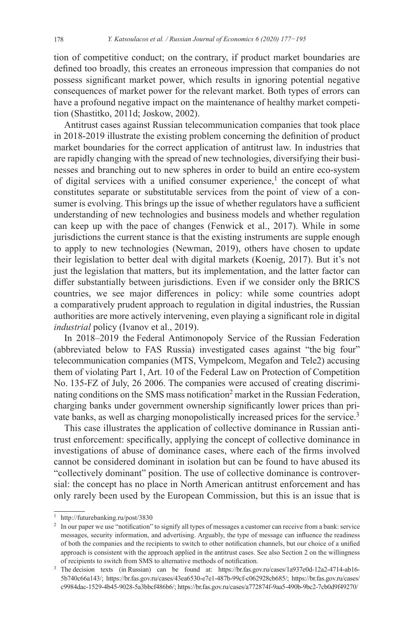tion of competitive conduct; on the contrary, if product market boundaries are defined too broadly, this creates an erroneous impression that companies do not possess significant market power, which results in ignoring potential negative consequences of market power for the relevant market. Both types of errors can have a profound negative impact on the maintenance of healthy market competition (Shastitko, 2011d; Joskow, 2002).

Antitrust cases against Russian telecommunication companies that took place in 2018-2019 illustrate the existing problem concerning the definition of product market boundaries for the correct application of antitrust law. In industries that are rapidly changing with the spread of new technologies, diversifying their businesses and branching out to new spheres in order to build an entire eco-system of digital services with a unified consumer experience,<sup>1</sup> the concept of what constitutes separate or substitutable services from the point of view of a consumer is evolving. This brings up the issue of whether regulators have a sufficient understanding of new technologies and business models and whether regulation can keep up with the pace of changes (Fenwick et al., 2017). While in some jurisdictions the current stance is that the existing instruments are supple enough to apply to new technologies (Newman, 2019), others have chosen to update their legislation to better deal with digital markets (Koenig, 2017). But it's not just the legislation that matters, but its implementation, and the latter factor can differ substantially between jurisdictions. Even if we consider only the BRICS countries, we see major differences in policy: while some countries adopt a comparatively prudent approach to regulation in digital industries, the Russian authorities are more actively intervening, even playing a significant role in digital *industrial* policy (Ivanov et al., 2019).

In 2018–2019 the Federal Antimonopoly Service of the Russian Federation (abbreviated below to FAS Russia) investigated cases against "the big four" telecommunication companies (MTS, Vympelcom, Megafon and Tele2) accusing them of violating Part 1, Art. 10 of the Federal Law on Protection of Competition No. 135-FZ of July, 26 2006. The companies were accused of creating discriminating conditions on the SMS mass notification<sup>2</sup> market in the Russian Federation, charging banks under government ownership significantly lower prices than private banks, as well as charging monopolistically increased prices for the service.<sup>3</sup>

This case illustrates the application of collective dominance in Russian antitrust enforcement: specifically, applying the concept of collective dominance in investigations of abuse of dominance cases, where each of the firms involved cannot be considered dominant in isolation but can be found to have abused its "collectively dominant" position. The use of collective dominance is controversial: the concept has no place in North American antitrust enforcement and has only rarely been used by the European Commission, but this is an issue that is

<sup>1</sup> <http://futurebanking.ru/post/3830>

<sup>&</sup>lt;sup>2</sup> In our paper we use "notification" to signify all types of messages a customer can receive from a bank: service messages, security information, and advertising. Arguably, the type of message can influence the readiness of both the companies and the recipients to switch to other notification channels, but our choice of a unified approach is consistent with the approach applied in the antitrust cases. See also Section 2 on the willingness of recipients to switch from SMS to alternative methods of notification.

<sup>3</sup> The decision texts (in Russian) can be found at: [https://br.fas.gov.ru/cases/1a937e0d-12a2-4714-ab16-](https://br.fas.gov.ru/cases/1a937e0d-12a2-4714-ab16-5b740c66a143/)[5b740c66a143/;](https://br.fas.gov.ru/cases/1a937e0d-12a2-4714-ab16-5b740c66a143/) <https://br.fas.gov.ru/cases/43ea6530-e7e1-487b-99cf-c062928cb685/>; [https://br.fas.gov.ru/cases/](https://br.fas.gov.ru/cases/c9984dac-1529-4b45-9028-5a3bbcf486b6/) [c9984dac-1529-4b45-9028-5a3bbcf486b6/;](https://br.fas.gov.ru/cases/c9984dac-1529-4b45-9028-5a3bbcf486b6/) <https://br.fas.gov.ru/cases/a772874f-9aa5-490b-9bc2-7cb0d9f49270/>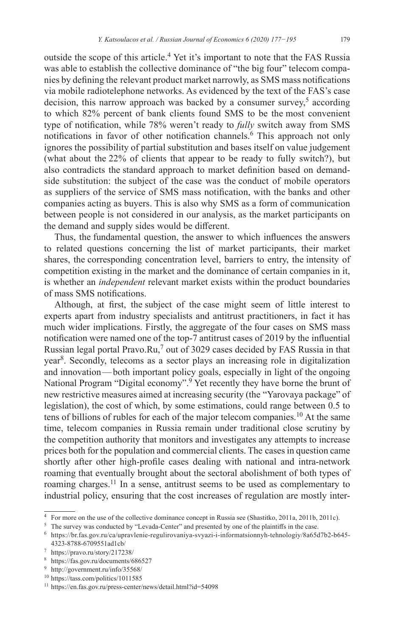outside the scope of this article.<sup>4</sup> Yet it's important to note that the FAS Russia was able to establish the collective dominance of "the big four" telecom companies by defining the relevant product market narrowly, as SMS mass notifications via mobile radiotelephone networks. As evidenced by the text of the FAS's case decision, this narrow approach was backed by a consumer survey,<sup>5</sup> according to which 82% percent of bank clients found SMS to be the most convenient type of notification, while 78% weren't ready to *fully* switch away from SMS notifications in favor of other notification channels.<sup>6</sup> This approach not only ignores the possibility of partial substitution and bases itself on value judgement (what about the 22% of clients that appear to be ready to fully switch?), but also contradicts the standard approach to market definition based on demandside substitution: the subject of the case was the conduct of mobile operators as suppliers of the service of SMS mass notification, with the banks and other companies acting as buyers. This is also why SMS as a form of communication between people is not considered in our analysis, as the market participants on the demand and supply sides would be different.

Thus, the fundamental question, the answer to which influences the answers to related questions concerning the list of market participants, their market shares, the corresponding concentration level, barriers to entry, the intensity of competition existing in the market and the dominance of certain companies in it, is whether an *independent* relevant market exists within the product boundaries of mass SMS notifications.

Although, at first, the subject of the case might seem of little interest to experts apart from industry specialists and antitrust practitioners, in fact it has much wider implications. Firstly, the aggregate of the four cases on SMS mass notification were named one of the top-7 antitrust cases of 2019 by the influential Russian legal portal Pravo.Ru,<sup>7</sup> out of 3029 cases decided by FAS Russia in that year<sup>8</sup>. Secondly, telecoms as a sector plays an increasing role in digitalization and innovation—both important policy goals, especially in light of the ongoing National Program "Digital economy".9 Yet recently they have borne the brunt of new restrictive measures aimed at increasing security (the "Yarovaya package" of legislation), the cost of which, by some estimations, could range between 0.5 to tens of billions of rubles for each of the major telecom companies.<sup>10</sup> At the same time, telecom companies in Russia remain under traditional close scrutiny by the competition authority that monitors and investigates any attempts to increase prices both for the population and commercial clients. The cases in question came shortly after other high-profile cases dealing with national and intra-network roaming that eventually brought about the sectoral abolishment of both types of roaming charges.11 In a sense, antitrust seems to be used as complementary to industrial policy, ensuring that the cost increases of regulation are mostly inter-

<sup>4</sup> For more on the use of the collective dominance concept in Russia see (Shastitko, 2011a, 2011b, 2011c).

<sup>&</sup>lt;sup>5</sup> The survey was conducted by "Levada-Center" and presented by one of the plaintiffs in the case.

<sup>6</sup> [https://br.fas.gov.ru/ca/upravlenie-regulirovaniya-svyazi-i-informatsionnyh-tehnologiy/8a65d7b2-b645-](https://br.fas.gov.ru/ca/upravlenie-regulirovaniya-svyazi-i-informatsionnyh-tehnologiy/8a65d7b2-b645-4323-8788-6709551ad1cb/)[4323-8788-6709551ad1cb/](https://br.fas.gov.ru/ca/upravlenie-regulirovaniya-svyazi-i-informatsionnyh-tehnologiy/8a65d7b2-b645-4323-8788-6709551ad1cb/)

<sup>7</sup> <https://pravo.ru/story/217238/>

<sup>8</sup> <https://fas.gov.ru/documents/686527>

<sup>9</sup> <http://government.ru/info/35568/>

<sup>10</sup> <https://tass.com/politics/1011585>

<sup>11</sup> <https://en.fas.gov.ru/press-center/news/detail.html?id=54098>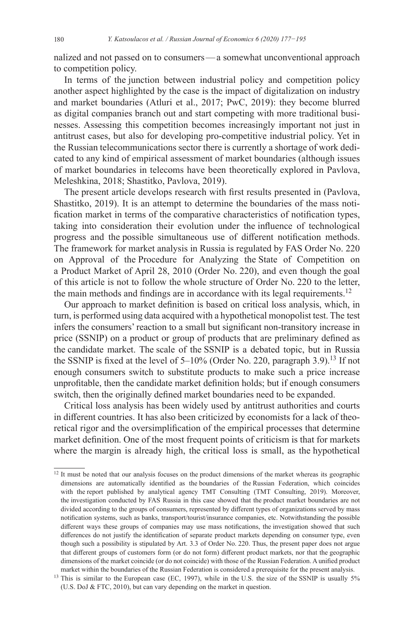nalized and not passed on to consumers—a somewhat unconventional approach to competition policy.

In terms of the junction between industrial policy and competition policy another aspect highlighted by the case is the impact of digitalization on industry and market boundaries (Atluri et al., 2017; PwC, 2019): they become blurred as digital companies branch out and start competing with more traditional businesses. Assessing this competition becomes increasingly important not just in antitrust cases, but also for developing pro-competitive industrial policy. Yet in the Russian telecommunications sector there is currently a shortage of work dedicated to any kind of empirical assessment of market boundaries (although issues of market boundaries in telecoms have been theoretically explored in Pavlova, Meleshkina, 2018; Shastitko, Pavlova, 2019).

The present article develops research with first results presented in (Pavlova, Shastitko, 2019). It is an attempt to determine the boundaries of the mass notification market in terms of the comparative characteristics of notification types, taking into consideration their evolution under the influence of technological progress and the possible simultaneous use of different notification methods. The framework for market analysis in Russia is regulated by FAS Order No. 220 on Approval of the Procedure for Analyzing the State of Competition on a Product Market of April 28, 2010 (Order No. 220), and even though the goal of this article is not to follow the whole structure of Order No. 220 to the letter, the main methods and findings are in accordance with its legal requirements.<sup>12</sup>

Our approach to market definition is based on critical loss analysis, which, in turn, is performed using data acquired with a hypothetical monopolist test. The test infers the consumers' reaction to a small but significant non-transitory increase in price (SSNIP) on a product or group of products that are preliminary defined as the candidate market. The scale of the SSNIP is a debated topic, but in Russia the SSNIP is fixed at the level of  $5-10\%$  (Order No. 220, paragraph 3.9).<sup>13</sup> If not enough consumers switch to substitute products to make such a price increase unprofitable, then the candidate market definition holds; but if enough consumers switch, then the originally defined market boundaries need to be expanded.

Critical loss analysis has been widely used by antitrust authorities and courts in different countries. It has also been criticized by economists for a lack of theoretical rigor and the oversimplification of the empirical processes that determine market definition. One of the most frequent points of criticism is that for markets where the margin is already high, the critical loss is small, as the hypothetical

<sup>&</sup>lt;sup>12</sup> It must be noted that our analysis focuses on the product dimensions of the market whereas its geographic dimensions are automatically identified as the boundaries of the Russian Federation, which coincides with the report published by analytical agency TMT Consulting (TMT Consulting, 2019). Moreover, the investigation conducted by FAS Russia in this case showed that the product market boundaries are not divided according to the groups of consumers, represented by different types of organizations served by mass notification systems, such as banks, transport/tourist/insurance companies, etc. Notwithstanding the possible different ways these groups of companies may use mass notifications, the investigation showed that such differences do not justify the identification of separate product markets depending on consumer type, even though such a possibility is stipulated by Art. 3.3 of Order No. 220. Thus, the present paper does not argue that different groups of customers form (or do not form) different product markets, nor that the geographic dimensions of the market coincide (or do not coincide) with those of the Russian Federation. A unified product market within the boundaries of the Russian Federation is considered a prerequisite for the present analysis.

<sup>&</sup>lt;sup>13</sup> This is similar to the European case (EC, 1997), while in the U.S. the size of the SSNIP is usually 5% (U.S. DoJ & FTC, 2010), but can vary depending on the market in question.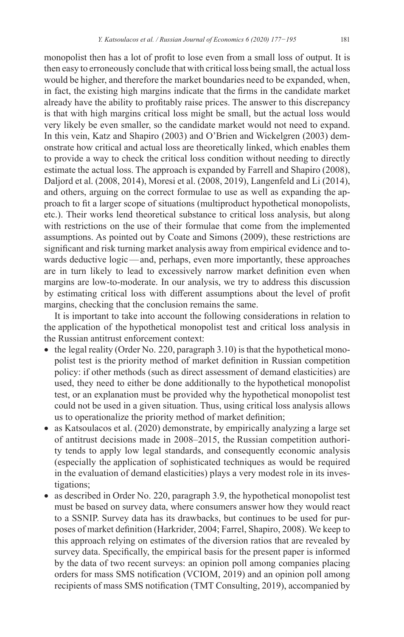monopolist then has a lot of profit to lose even from a small loss of output. It is then easy to erroneously conclude that with critical loss being small, the actual loss would be higher, and therefore the market boundaries need to be expanded, when, in fact, the existing high margins indicate that the firms in the candidate market already have the ability to profitably raise prices. The answer to this discrepancy is that with high margins critical loss might be small, but the actual loss would very likely be even smaller, so the candidate market would not need to expand. In this vein, Katz and Shapiro (2003) and O'Brien and Wickelgren (2003) demonstrate how critical and actual loss are theoretically linked, which enables them to provide a way to check the critical loss condition without needing to directly estimate the actual loss. The approach is expanded by Farrell and Shapiro (2008), Daljord et al. (2008, 2014), Moresi et al. (2008, 2019), Langenfeld and Li (2014), and others, arguing on the correct formulae to use as well as expanding the approach to fit a larger scope of situations (multiproduct hypothetical monopolists, etc.). Their works lend theoretical substance to critical loss analysis, but along with restrictions on the use of their formulae that come from the implemented assumptions. As pointed out by Coate and Simons (2009), these restrictions are significant and risk turning market analysis away from empirical evidence and towards deductive logic—and, perhaps, even more importantly, these approaches are in turn likely to lead to excessively narrow market definition even when margins are low-to-moderate. In our analysis, we try to address this discussion by estimating critical loss with different assumptions about the level of profit margins, checking that the conclusion remains the same.

It is important to take into account the following considerations in relation to the application of the hypothetical monopolist test and critical loss analysis in the Russian antitrust enforcement context:

- the legal reality (Order No. 220, paragraph  $3.10$ ) is that the hypothetical monopolist test is the priority method of market definition in Russian competition policy: if other methods (such as direct assessment of demand elasticities) are used, they need to either be done additionally to the hypothetical monopolist test, or an explanation must be provided why the hypothetical monopolist test could not be used in a given situation. Thus, using critical loss analysis allows us to operationalize the priority method of market definition;
- as Katsoulacos et al. (2020) demonstrate, by empirically analyzing a large set of antitrust decisions made in 2008–2015, the Russian competition authority tends to apply low legal standards, and consequently economic analysis (especially the application of sophisticated techniques as would be required in the evaluation of demand elasticities) plays a very modest role in its investigations;
- as described in Order No. 220, paragraph 3.9, the hypothetical monopolist test must be based on survey data, where consumers answer how they would react to a SSNIP. Survey data has its drawbacks, but continues to be used for purposes of market definition (Harkrider, 2004; Farrel, Shapiro, 2008). We keep to this approach relying on estimates of the diversion ratios that are revealed by survey data. Specifically, the empirical basis for the present paper is informed by the data of two recent surveys: an opinion poll among companies placing orders for mass SMS notification (VCIOM, 2019) and an opinion poll among recipients of mass SMS notification (TMT Consulting, 2019), accompanied by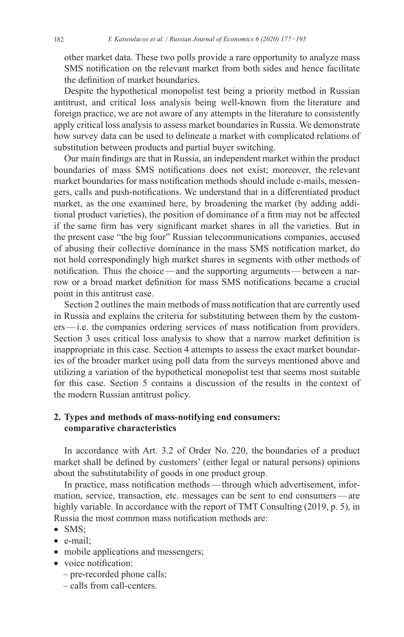other market data. These two polls provide a rare opportunity to analyze mass SMS notification on the relevant market from both sides and hence facilitate the definition of market boundaries.

Despite the hypothetical monopolist test being a priority method in Russian antitrust, and critical loss analysis being well-known from the literature and foreign practice, we are not aware of any attempts in the literature to consistently apply critical loss analysis to assess market boundaries in Russia. We demonstrate how survey data can be used to delineate a market with complicated relations of substitution between products and partial buyer switching.

Our main findings are that in Russia, an independent market within the product boundaries of mass SMS notifications does not exist; moreover, the relevant market boundaries for mass notification methods should include e-mails, messengers, calls and push-notifications. We understand that in a differentiated product market, as the one examined here, by broadening the market (by adding additional product varieties), the position of dominance of a firm may not be affected if the same firm has very significant market shares in all the varieties. But in the present case "the big four" Russian telecommunications companies, accused of abusing their collective dominance in the mass SMS notification market, do not hold correspondingly high market shares in segments with other methods of notification. Thus the choice—and the supporting arguments—between a narrow or a broad market definition for mass SMS notifications became a crucial point in this antitrust case.

Section 2 outlines the main methods of mass notification that are currently used in Russia and explains the criteria for substituting between them by the customers—i.e. the companies ordering services of mass notification from providers. Section 3 uses critical loss analysis to show that a narrow market definition is inappropriate in this case. Section 4 attempts to assess the exact market boundaries of the broader market using poll data from the surveys mentioned above and utilizing a variation of the hypothetical monopolist test that seems most suitable for this case. Section 5 contains a discussion of the results in the context of the modern Russian antitrust policy.

# **2. Types and methods of mass-notifying end consumers: comparative characteristics**

In accordance with Art. 3.2 of Order No. 220, the boundaries of a product market shall be defined by customers' (either legal or natural persons) opinions about the substitutability of goods in one product group.

In practice, mass notification methods—through which advertisement, information, service, transaction, etc. messages can be sent to end consumers—are highly variable. In accordance with the report of TMT Consulting (2019, p. 5), in Russia the most common mass notification methods are:

- SMS;
- e-mail;
- mobile applications and messengers;
- voice notification:
	- pre-recorded phone calls;
	- calls from call-centers.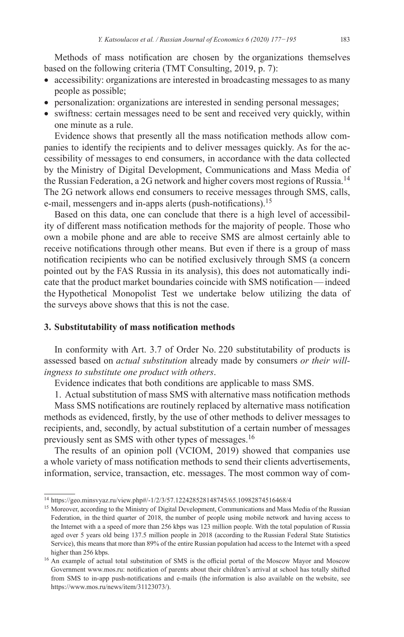Methods of mass notification are chosen by the organizations themselves based on the following criteria (TMT Consulting, 2019, p. 7):

- accessibility: organizations are interested in broadcasting messages to as many people as possible;
- personalization: organizations are interested in sending personal messages;
- swiftness: certain messages need to be sent and received very quickly, within one minute as a rule.

Evidence shows that presently all the mass notification methods allow companies to identify the recipients and to deliver messages quickly. As for the accessibility of messages to end consumers, in accordance with the data collected by the Ministry of Digital Development, Communications and Mass Media of the Russian Federation, a 2G network and higher covers most regions of Russia.<sup>14</sup> The 2G network allows end consumers to receive messages through SMS, calls, e-mail, messengers and in-apps alerts (push-notifications).<sup>15</sup>

Based on this data, one can conclude that there is a high level of accessibility of different mass notification methods for the majority of people. Those who own a mobile phone and are able to receive SMS are almost certainly able to receive notifications through other means. But even if there is a group of mass notification recipients who can be notified exclusively through SMS (a concern pointed out by the FAS Russia in its analysis), this does not automatically indicate that the product market boundaries coincide with SMS notification—indeed the Hypothetical Monopolist Test we undertake below utilizing the data of the surveys above shows that this is not the case.

## **3. Substitutability of mass notification methods**

In conformity with Art. 3.7 of Order No. 220 substitutability of products is assessed based on *actual substitution* already made by consumers *or their will‑ ingness to substitute one product with others*.

Evidence indicates that both conditions are applicable to mass SMS.

1. Actual substitution of mass SMS with alternative mass notification methods

Mass SMS notifications are routinely replaced by alternative mass notification methods as evidenced, firstly, by the use of other methods to deliver messages to recipients, and, secondly, by actual substitution of a certain number of messages previously sent as SMS with other types of messages.<sup>16</sup>

The results of an opinion poll (VCIOM, 2019) showed that companies use a whole variety of mass notification methods to send their clients advertisements, information, service, transaction, etc. messages. The most common way of com-

<sup>14</sup> <https://geo.minsvyaz.ru/view.php#/-1/2/3/57.122428528148745/65.10982874516468/4>

<sup>&</sup>lt;sup>15</sup> Moreover, according to the Ministry of Digital Development, Communications and Mass Media of the Russian Federation, in the third quarter of 2018, the number of people using mobile network and having access to the Internet with a a speed of more than 256 kbps was 123 million people. With the total population of Russia aged over 5 years old being 137.5 million people in 2018 (according to the Russian Federal State Statistics Service), this means that more than 89% of the entire Russian population had access to the Internet with a speed higher than 256 kbps.

<sup>&</sup>lt;sup>16</sup> An example of actual total substitution of SMS is the official portal of the Moscow Mayor and Moscow Government www.mos.ru: notification of parents about their children's arrival at school has totally shifted from SMS to in-app push-notifications and e-mails (the information is also available on the website, see <https://www.mos.ru/news/item/31123073/>).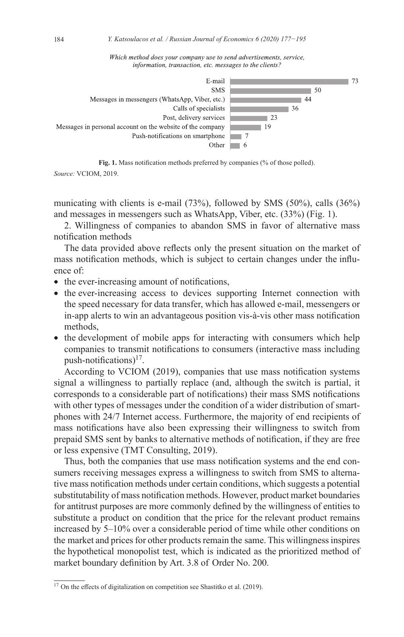Which method does your company use to send advertisements, service, information, transaction, etc. messages to the clients?



**Fig. 1.** Mass notification methods preferred by companies (% of those polled). *Source:* VCIOM, 2019.

municating with clients is e-mail  $(73%)$ , followed by SMS  $(50%)$ , calls  $(36%)$ and messages in messengers such as WhatsApp, Viber, etc. (33%) (Fig. 1).

2. Willingness of companies to abandon SMS in favor of alternative mass notification methods

The data provided above reflects only the present situation on the market of mass notification methods, which is subject to certain changes under the influence of:

- the ever-increasing amount of notifications,
- the ever-increasing access to devices supporting Internet connection with the speed necessary for data transfer, which has allowed e‑mail, messengers or in-app alerts to win an advantageous position vis-à-vis other mass notification methods,
- the development of mobile apps for interacting with consumers which help companies to transmit notifications to consumers (interactive mass including push-notifications) $17$ .

According to VCIOM (2019), companies that use mass notification systems signal a willingness to partially replace (and, although the switch is partial, it corresponds to a considerable part of notifications) their mass SMS notifications with other types of messages under the condition of a wider distribution of smartphones with 24/7 Internet access. Furthermore, the majority of end recipients of mass notifications have also been expressing their willingness to switch from prepaid SMS sent by banks to alternative methods of notification, if they are free or less expensive (TMT Consulting, 2019).

Thus, both the companies that use mass notification systems and the end consumers receiving messages express a willingness to switch from SMS to alterna tive mass notification methods under certain conditions, which suggests a potential substitutability of mass notification methods. However, product market boundaries for antitrust purposes are more commonly defined by the willingness of entities to substitute a product on condition that the price for the relevant product remains increased by 5–10% over a considerable period of time while other conditions on the market and prices for other products remain the same. This willingness inspires the hypothetical monopolist test, which is indicated as the prioritized method of market boundary definition by Art. 3.8 of Order No. 200.

 $17$  On the effects of digitalization on competition see Shastitko et al. (2019).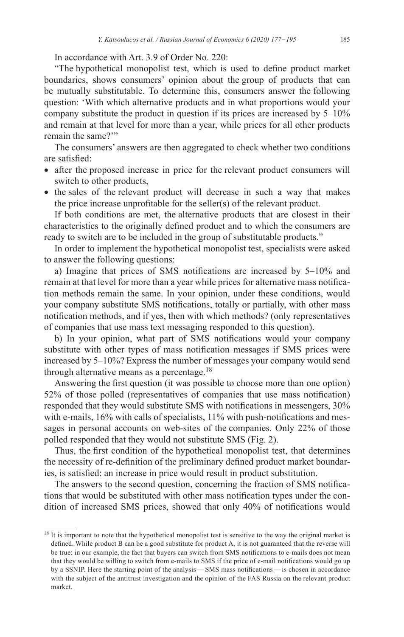In accordance with Art. 3.9 of Order No. 220:

"The hypothetical monopolist test, which is used to define product market boundaries, shows consumers' opinion about the group of products that can be mutually substitutable. To determine this, consumers answer the following question: 'With which alternative products and in what proportions would your company substitute the product in question if its prices are increased by 5–10% and remain at that level for more than a year, while prices for all other products remain the same?'"

The consumers' answers are then aggregated to check whether two conditions are satisfied:

- after the proposed increase in price for the relevant product consumers will switch to other products,
- the sales of the relevant product will decrease in such a way that makes the price increase unprofitable for the seller(s) of the relevant product.

If both conditions are met, the alternative products that are closest in their characteristics to the originally defined product and to which the consumers are ready to switch are to be included in the group of substitutable products."

In order to implement the hypothetical monopolist test, specialists were asked to answer the following questions:

a) Imagine that prices of SMS notifications are increased by 5–10% and remain at that level for more than a year while prices for alternative mass notification methods remain the same. In your opinion, under these conditions, would your company substitute SMS notifications, totally or partially, with other mass notification methods, and if yes, then with which methods? (only representatives of companies that use mass text messaging responded to this question).

b) In your opinion, what part of SMS notifications would your company substitute with other types of mass notification messages if SMS prices were increased by 5–10%? Express the number of messages your company would send through alternative means as a percentage.<sup>18</sup>

Answering the first question (it was possible to choose more than one option) 52% of those polled (representatives of companies that use mass notification) responded that they would substitute SMS with notifications in messengers, 30% with e-mails, 16% with calls of specialists, 11% with push-notifications and messages in personal accounts on web-sites of the companies. Only 22% of those polled responded that they would not substitute SMS (Fig. 2).

Thus, the first condition of the hypothetical monopolist test, that determines the necessity of re-definition of the preliminary defined product market boundaries, is satisfied: an increase in price would result in product substitution.

The answers to the second question, concerning the fraction of SMS notifications that would be substituted with other mass notification types under the condition of increased SMS prices, showed that only 40% of notifications would

<sup>&</sup>lt;sup>18</sup> It is important to note that the hypothetical monopolist test is sensitive to the way the original market is defined. While product B can be a good substitute for product A, it is not guaranteed that the reverse will be true: in our example, the fact that buyers can switch from SMS notifications to e-mails does not mean that they would be willing to switch from e-mails to SMS if the price of e-mail notifications would go up by a SSNIP. Here the starting point of the analysis—SMS mass notifications—is chosen in accordance with the subject of the antitrust investigation and the opinion of the FAS Russia on the relevant product market.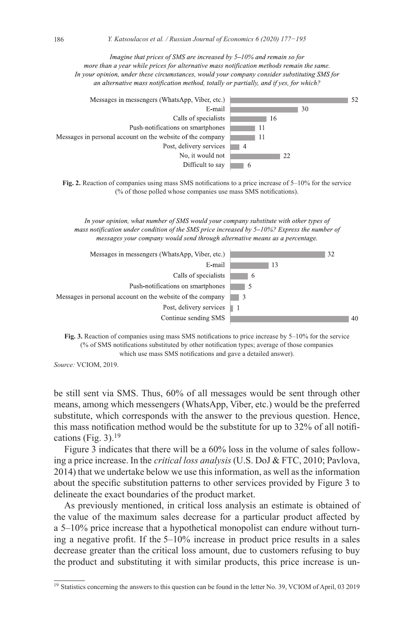Imagine that prices of SMS are increased by 5-10% and remain so for more than a year while prices for alternative mass notification methods remain the same. In your opinion, under these circumstances, would your company consider substituting SMS for an alternative mass notification method, totally or partially, and if yes, for which? Messages in messengers (WhatsApp, Viber, etc.)  $\sqrt{52}$ 



**Fig. 2.** Reaction of companies using mass SMS notifications to a price increase of 5–10% for the service (% of those polled whose companies use mass SMS notifications).

In your opinion, what number of SMS would your company substitute with other types of mass notification under condition of the SMS price increased by 5-10%? Express the number of messages your company would send through alternative means as a percentage.





*Source:* VCIOM, 2019.

be still sent via SMS. Thus, 60% of all messages would be sent through other means, among which messengers (WhatsApp, Viber, etc.) would be the preferred substitute, which corresponds with the answer to the previous question. Hence, this mass notification method would be the substitute for up to 32% of all notifications (Fig. 3).<sup>19</sup>

Figure 3 indicates that there will be a 60% loss in the volume of sales follow– ing a price increase. In the *critical loss analysis* (U.S. DoJ & FTC, 2010; Pavlova, 2014) that we undertake below we use this information, as well as the information about the specific substitution patterns to other services provided by Figure 3 to delineate the exact boundaries of the product market.

As previously mentioned, in critical loss analysis an estimate is obtained of the value of the maximum sales decrease for a particular product affected by a 5–10% price increase that a hypothetical monopolist can endure without turn– ing a negative profit. If the 5–10% increase in product price results in a sales decrease greater than the critical loss amount, due to customers refusing to buy the product and substituting it with similar products, this price increase is un-

<sup>&</sup>lt;sup>19</sup> Statistics concerning the answers to this question can be found in the letter No. 39, VCIOM of April, 03 2019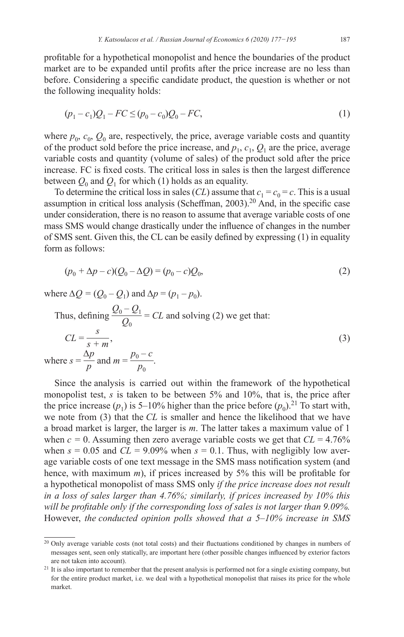profitable for a hypothetical monopolist and hence the boundaries of the product market are to be expanded until profits after the price increase are no less than before. Considering a specific candidate product, the question is whether or not the following inequality holds:

$$
(p_1 - c_1)Q_1 - FC \le (p_0 - c_0)Q_0 - FC,\tag{1}
$$

where  $p_0$ ,  $c_0$ ,  $Q_0$  are, respectively, the price, average variable costs and quantity of the product sold before the price increase, and  $p_1, c_1, Q_1$  are the price, average variable costs and quantity (volume of sales) of the product sold after the price increase. FC is fixed costs. The critical loss in sales is then the largest difference between  $Q_0$  and  $Q_1$  for which (1) holds as an equality.

To determine the critical loss in sales (*CL*) assume that  $c_1 = c_0 = c$ . This is a usual assumption in critical loss analysis (Scheffman, 2003).<sup>20</sup> And, in the specific case under consideration, there is no reason to assume that average variable costs of one mass SMS would change drastically under the influence of changes in the number of SMS sent. Given this, the CL can be easily defined by expressing (1) in equality form as follows:

$$
(p_0 + \Delta p - c)(Q_0 - \Delta Q) = (p_0 - c)Q_0,
$$
\n(2)

where  $\Delta Q = (Q_0 - Q_1)$  and  $\Delta p = (p_1 - p_0)$ .

Thus, defining 
$$
\frac{Q_0 - Q_1}{Q_0} = CL
$$
 and solving (2) we get that:  
\n
$$
CL = \frac{s}{s + m},
$$
\nwhere  $s = \frac{\Delta p}{p}$  and  $m = \frac{p_0 - c}{p_0}$ . (3)

Since the analysis is carried out within the framework of the hypothetical monopolist test, *s* is taken to be between 5% and 10%, that is, the price after the price increase  $(p_1)$  is 5–10% higher than the price before  $(p_0)$ .<sup>21</sup> To start with, we note from (3) that the *CL* is smaller and hence the likelihood that we have a broad market is larger, the larger is *m*. The latter takes a maximum value of 1 when  $c = 0$ . Assuming then zero average variable costs we get that  $CL = 4.76\%$ when  $s = 0.05$  and  $CL = 9.09\%$  when  $s = 0.1$ . Thus, with negligibly low average variable costs of one text message in the SMS mass notification system (and hence, with maximum *m*), if prices increased by 5% this will be profitable for a hypothetical monopolist of mass SMS only *if the price increase does not result in a loss of sales larger than 4.76%; similarly, if prices increased by 10% this will be profitable only if the corresponding loss of sales is not larger than 9.09%.* However, *the conducted opinion polls showed that a 5–10% increase in SMS* 

<sup>&</sup>lt;sup>20</sup> Only average variable costs (not total costs) and their fluctuations conditioned by changes in numbers of messages sent, seen only statically, are important here (other possible changes influenced by exterior factors are not taken into account). <sup>21</sup> It is also important to remember that the present analysis is performed not for a single existing company, but

for the entire product market, i.e. we deal with a hypothetical monopolist that raises its price for the whole market.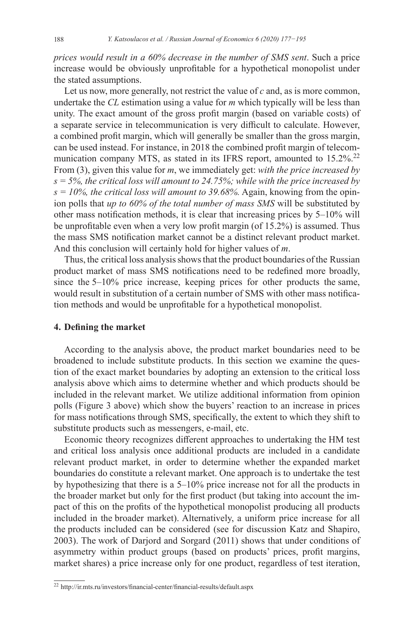*prices would result in a 60% decrease in the number of SMS sent*. Such a price increase would be obviously unprofitable for a hypothetical monopolist under the stated assumptions.

Let us now, more generally, not restrict the value of *c* and, as is more common, undertake the *CL* estimation using a value for *m* which typically will be less than unity. The exact amount of the gross profit margin (based on variable costs) of a separate service in telecommunication is very difficult to calculate. However, a combined profit margin, which will generally be smaller than the gross margin, can be used instead. For instance, in 2018 the combined profit margin of telecommunication company MTS, as stated in its IFRS report, amounted to  $15.2\%$ <sup>22</sup> From (3), given this value for *m*, we immediately get: *with the price increased by s = 5%, the critical loss will amount to 24.75%; while with the price increased by*   $s = 10\%$ , the *critical loss will amount to 39.68%*. Again, knowing from the opinion polls that *up to 60% of the total number of mass SMS* will be substituted by other mass notification methods, it is clear that increasing prices by 5–10% will be unprofitable even when a very low profit margin (of 15.2%) is assumed. Thus the mass SMS notification market cannot be a distinct relevant product market. And this conclusion will certainly hold for higher values of *m*.

Thus, the critical loss analysis shows that the product boundaries of the Russian product market of mass SMS notifications need to be redefined more broadly, since the 5–10% price increase, keeping prices for other products the same, would result in substitution of a certain number of SMS with other mass notification methods and would be unprofitable for a hypothetical monopolist.

## **4. Defining the market**

According to the analysis above, the product market boundaries need to be broadened to include substitute products. In this section we examine the question of the exact market boundaries by adopting an extension to the critical loss analysis above which aims to determine whether and which products should be included in the relevant market. We utilize additional information from opinion polls (Figure 3 above) which show the buyers' reaction to an increase in prices for mass notifications through SMS, specifically, the extent to which they shift to substitute products such as messengers, e-mail, etc.

Economic theory recognizes different approaches to undertaking the HM test and critical loss analysis once additional products are included in a candidate relevant product market, in order to determine whether the expanded market boundaries do constitute a relevant market. One approach is to undertake the test by hypothesizing that there is a 5–10% price increase not for all the products in the broader market but only for the first product (but taking into account the im‑ pact of this on the profits of the hypothetical monopolist producing all products included in the broader market). Alternatively, a uniform price increase for all the products included can be considered (see for discussion Katz and Shapiro, 2003). The work of Darjord and Sorgard (2011) shows that under conditions of asymmetry within product groups (based on products' prices, profit margins, market shares) a price increase only for one product, regardless of test iteration,

<sup>22</sup> [http://ir.mts.ru/investors/financial-center/financial-results/default.asp](http://ir.mts.ru/investors/financial-center/financial-results/default.aspx)x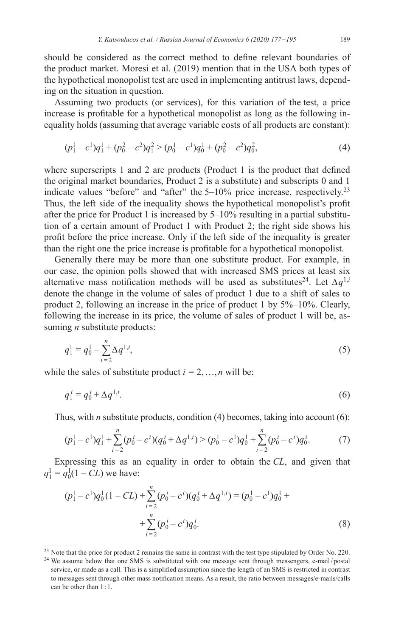should be considered as the correct method to define relevant boundaries of the product market. Moresi et al. (2019) mention that in the USA both types of the hypothetical monopolist test are used in implementing antitrust laws, depending on the situation in question.

Assuming two products (or services), for this variation of the test, a price increase is profitable for a hypothetical monopolist as long as the following inequality holds (assuming that average variable costs of all products are constant):

$$
(p_1^1 - c^1)q_1^1 + (p_0^2 - c^2)q_1^2 > (p_0^1 - c^1)q_0^1 + (p_0^2 - c^2)q_0^2,
$$
\n<sup>(4)</sup>

where superscripts 1 and 2 are products (Product 1 is the product that defined the original market boundaries, Product 2 is a substitute) and subscripts 0 and 1 indicate values "before" and "after" the 5–10% price increase, respectively.<sup>23</sup> Thus, the left side of the inequality shows the hypothetical monopolist's profit after the price for Product 1 is increased by  $5-10\%$  resulting in a partial substitution of a certain amount of Product 1 with Product 2; the right side shows his profit before the price increase. Only if the left side of the inequality is greater than the right one the price increase is profitable for a hypothetical monopolist.

Generally there may be more than one substitute product. For example, in our case, the opinion polls showed that with increased SMS prices at least six alternative mass notification methods will be used as substitutes<sup>24</sup>. Let  $\Delta q^{1,i}$ denote the change in the volume of sales of product 1 due to a shift of sales to product 2, following an increase in the price of product 1 by 5%–10%. Clearly, following the increase in its price, the volume of sales of product 1 will be, assuming *n* substitute products:

$$
q_1^1 = q_0^1 - \sum_{i=2}^n \Delta q^{1,i},\tag{5}
$$

while the sales of substitute product  $i = 2, ..., n$  will be:

$$
q_1^i = q_0^i + \Delta q^{1,i}.\tag{6}
$$

Thus, with *n* substitute products, condition (4) becomes, taking into account (6):

$$
(p_1^1 - c^1)q_1^1 + \sum_{i=2}^n (p_0^i - c^i)(q_0^i + \Delta q^{1,i}) > (p_0^1 - c^1)q_0^1 + \sum_{i=2}^n (p_0^i - c^i)q_0^i.
$$
 (7)

Expressing this as an equality in order to obtain the *CL*, and given that  $q_1^1 = q_0^1(1 - CL)$  we have:

$$
(p_1^1 - c^1)q_0^1(1 - CL) + \sum_{i=2}^n (p_0^i - c^i)(q_0^i + \Delta q^{1,i}) = (p_0^1 - c^1)q_0^1 + \sum_{i=2}^n (p_0^i - c^i)q_0^i.
$$
\n(8)

<sup>&</sup>lt;sup>23</sup> Note that the price for product 2 remains the same in contrast with the test type stipulated by Order No. 220.

<sup>&</sup>lt;sup>24</sup> We assume below that one SMS is substituted with one message sent through messengers, e-mail/postal service, or made as a call. This is a simplified assumption since the length of an SMS is restricted in contrast to messages sent through other mass notification means. As a result, the ratio between messages/e-mails/calls can be other than 1:1.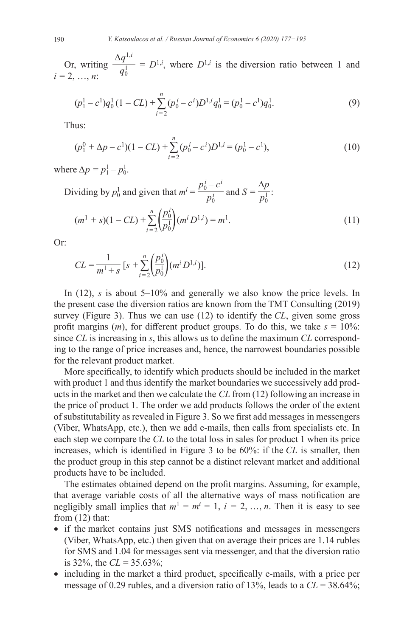Or, writing  $\frac{\Delta q^{1,i}}{q!}$  $\frac{q_1}{q_0^{1}} = D^{1,i}$ , where  $D^{1,i}$  is the diversion ratio between 1 and *i =* 2, …, *n*:

$$
(p_1^1 - c^1)q_0^1(1 - CL) + \sum_{i=2}^n (p_0^i - c^i)D^{1,i}q_0^1 = (p_0^1 - c^1)q_0^1.
$$
 (9)

Thus:

$$
(p_1^0 + \Delta p - c^1)(1 - CL) + \sum_{i=2}^n (p_0^i - c^i)D^{1,i} = (p_0^1 - c^1),
$$
\n(10)

where  $\Delta p = p_1^1 - p_0^1$ .

Dividing by  $p_0^1$  and given that  $m^i = \frac{p_0^i - c^i}{n^i}$  $\frac{-c^i}{p_0^i}$  and  $S = \frac{\Delta p}{p_0^1}$ :

$$
(m1 + s)(1 - CL) + \sum_{i=2}^{n} \left(\frac{p_0^i}{p_0^1}\right)(m^i D^{1,i}) = m^1.
$$
\n(11)

Or:

$$
CL = \frac{1}{m^1 + s} \left[ s + \sum_{i=2}^{n} \left( \frac{p_0^i}{p_0^1} \right) (m^i D^{1,i}) \right].
$$
 (12)

In (12), *s* is about 5–10% and generally we also know the price levels. In the present case the diversion ratios are known from the TMT Consulting (2019) survey (Figure 3). Thus we can use (12) to identify the *CL*, given some gross profit margins  $(m)$ , for different product groups. To do this, we take  $s = 10\%$ : since *CL* is increasing in *s*, this allows us to define the maximum *CL* corresponding to the range of price increases and, hence, the narrowest boundaries possible for the relevant product market.

More specifically, to identify which products should be included in the market with product 1 and thus identify the market boundaries we successively add products in the market and then we calculate the *CL* from (12) following an increase in the price of product 1. The order we add products follows the order of the extent of substitutability as revealed in Figure 3. So we first add messages in messengers (Viber, WhatsApp, etc.), then we add e‑mails, then calls from specialists etc. In each step we compare the *CL* to the total loss in sales for product 1 when its price increases, which is identified in Figure 3 to be 60%: if the *CL* is smaller, then the product group in this step cannot be a distinct relevant market and additional products have to be included.

The estimates obtained depend on the profit margins. Assuming, for example, that average variable costs of all the alternative ways of mass notification are negligibly small implies that  $m^1 = m^i = 1$ ,  $i = 2, ..., n$ . Then it is easy to see from  $(12)$  that:

- if the market contains just SMS notifications and messages in messengers (Viber, WhatsApp, etc.) then given that on average their prices are 1.14 rubles for SMS and 1.04 for messages sent via messenger, and that the diversion ratio is 32%, the  $CL = 35.63\%$ ;
- including in the market a third product, specifically e-mails, with a price per message of 0.29 rubles, and a diversion ratio of 13%, leads to a *CL* = 38.64%;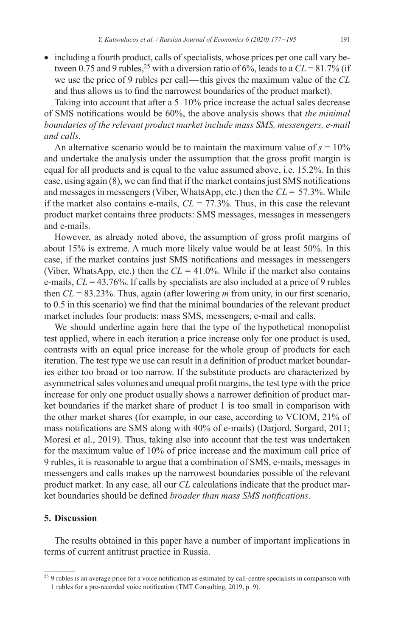• including a fourth product, calls of specialists, whose prices per one call vary between 0.75 and 9 rubles,<sup>25</sup> with a diversion ratio of 6%, leads to a  $CL = 81.7\%$  (if we use the price of 9 rubles per call—this gives the maximum value of the *CL* and thus allows us to find the narrowest boundaries of the product market).

Taking into account that after a 5–10% price increase the actual sales decrease of SMS notifications would be 60%, the above analysis shows that *the minimal boundaries of the relevant product market include mass SMS, messengers, e‑mail and calls.*

An alternative scenario would be to maintain the maximum value of  $s = 10\%$ and undertake the analysis under the assumption that the gross profit margin is equal for all products and is equal to the value assumed above, i.e. 15.2%. In this case, using again (8), we can find that if the market contains just SMS notifications and messages in messengers (Viber, WhatsApp, etc.) then the *CL* = 57.3%. While if the market also contains e-mails,  $CL = 77.3\%$ . Thus, in this case the relevant product market contains three products: SMS messages, messages in messengers and e‑mails.

However, as already noted above, the assumption of gross profit margins of about 15% is extreme. A much more likely value would be at least 50%. In this case, if the market contains just SMS notifications and messages in messengers (Viber, WhatsApp, etc.) then the  $CL = 41.0\%$ . While if the market also contains e‑mails, *CL* = 43.76%. If calls by specialists are also included at a price of 9 rubles then *CL* = 83.23%. Thus, again (after lowering *m* from unity, in our first scenario, to 0.5 in this scenario) we find that the minimal boundaries of the relevant product market includes four products: mass SMS, messengers, e‑mail and calls.

We should underline again here that the type of the hypothetical monopolist test applied, where in each iteration a price increase only for one product is used, contrasts with an equal price increase for the whole group of products for each iteration. The test type we use can result in a definition of product market boundaries either too broad or too narrow. If the substitute products are characterized by asymmetrical sales volumes and unequal profit margins, the test type with the price increase for only one product usually shows a narrower definition of product market boundaries if the market share of product 1 is too small in comparison with the other market shares (for example, in our case, according to VCIOM, 21% of mass notifications are SMS along with 40% of e-mails) (Darjord, Sorgard, 2011; Moresi et al., 2019). Thus, taking also into account that the test was undertaken for the maximum value of 10% of price increase and the maximum call price of 9 rubles, it is reasonable to argue that a combination of SMS, e‑mails, messages in messengers and calls makes up the narrowest boundaries possible of the relevant product market. In any case, all our *CL* calculations indicate that the product market boundaries should be defined *broader than mass SMS notifications.*

#### **5. Discussion**

The results obtained in this paper have a number of important implications in terms of current antitrust practice in Russia.

<sup>&</sup>lt;sup>25</sup> 9 rubles is an average price for a voice notification as estimated by call-centre specialists in comparison with 1 rubles for a pre-recorded voice notification (TMT Consulting, 2019, p. 9).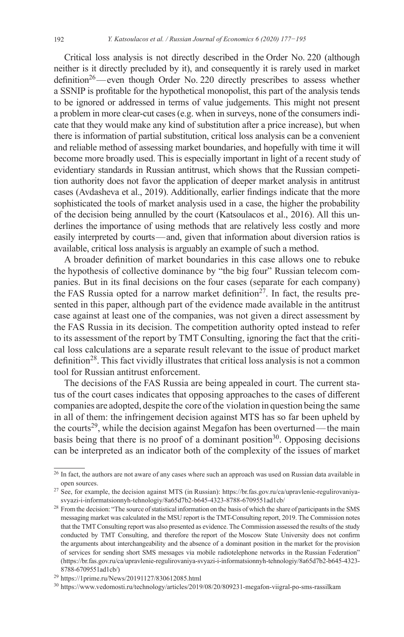Critical loss analysis is not directly described in the Order No. 220 (although neither is it directly precluded by it), and consequently it is rarely used in market definition<sup>26</sup>—even though Order No. 220 directly prescribes to assess whether a SSNIP is profitable for the hypothetical monopolist, this part of the analysis tends to be ignored or addressed in terms of value judgements. This might not present a problem in more clear-cut cases (e.g. when in surveys, none of the consumers indicate that they would make any kind of substitution after a price increase), but when there is information of partial substitution, critical loss analysis can be a convenient and reliable method of assessing market boundaries, and hopefully with time it will become more broadly used. This is especially important in light of a recent study of evidentiary standards in Russian antitrust, which shows that the Russian competition authority does not favor the application of deeper market analysis in antitrust cases (Avdasheva et al., 2019). Additionally, earlier findings indicate that the more sophisticated the tools of market analysis used in a case, the higher the probability of the decision being annulled by the court (Katsoulacos et al., 2016). All this underlines the importance of using methods that are relatively less costly and more easily interpreted by courts—and, given that information about diversion ratios is available, critical loss analysis is arguably an example of such a method.

A broader definition of market boundaries in this case allows one to rebuke the hypothesis of collective dominance by "the big four" Russian telecom companies. But in its final decisions on the four cases (separate for each company) the FAS Russia opted for a narrow market definition<sup>27</sup>. In fact, the results presented in this paper, although part of the evidence made available in the antitrust case against at least one of the companies, was not given a direct assessment by the FAS Russia in its decision. The competition authority opted instead to refer to its assessment of the report by TMT Consulting, ignoring the fact that the critical loss calculations are a separate result relevant to the issue of product market definition<sup>28</sup>. This fact vividly illustrates that critical loss analysis is not a common tool for Russian antitrust enforcement.

The decisions of the FAS Russia are being appealed in court. The current status of the court cases indicates that opposing approaches to the cases of different companies are adopted, despite the core of the violation in question being the same in all of them: the infringement decision against MTS has so far been upheld by the courts<sup>29</sup>, while the decision against Megafon has been overturned—the main basis being that there is no proof of a dominant position<sup>30</sup>. Opposing decisions can be interpreted as an indicator both of the complexity of the issues of market

<sup>&</sup>lt;sup>26</sup> In fact, the authors are not aware of any cases where such an approach was used on Russian data available in open sources.

<sup>27</sup> See, for example, the decision against MTS (in Russian): [https://br.fas.gov.ru/ca/upravlenie-regulirovaniya](https://br.fas.gov.ru/ca/upravlenie-regulirovaniya-svyazi-i-informatsionnyh-tehnologiy/8a65d7b2-b645-4323-8788-6709551ad1cb/)[svyazi-i-informatsionnyh-tehnologiy/8a65d7b2-b645-4323-8788-6709551ad1cb/](https://br.fas.gov.ru/ca/upravlenie-regulirovaniya-svyazi-i-informatsionnyh-tehnologiy/8a65d7b2-b645-4323-8788-6709551ad1cb/)

<sup>&</sup>lt;sup>28</sup> From the decision: "The source of statistical information on the basis of which the share of participants in the SMS messaging market was calculated in the MSU report is the TMT-Consulting report, 2019. The Commission notes that the TMT Consulting report was also presented as evidence. The Commission assessed the results of the study conducted by TMT Consulting, and therefore the report of the Moscow State University does not confirm the arguments about interchangeability and the absence of a dominant position in the market for the provision of services for sending short SMS messages via mobile radiotelephone networks in the Russian Federation" [\(https://br.fas.gov.ru/ca/upravlenie-regulirovaniya-svyazi-i-informatsionnyh-tehnologiy/8a65d7b2-b645-4323-](https://br.fas.gov.ru/ca/upravlenie-regulirovaniya-svyazi-i-informatsionnyh-tehnologiy/8a65d7b2-b645-4323-8788-6709551ad1cb/)[8788-6709551ad1cb/](https://br.fas.gov.ru/ca/upravlenie-regulirovaniya-svyazi-i-informatsionnyh-tehnologiy/8a65d7b2-b645-4323-8788-6709551ad1cb/))

<sup>29</sup> <https://1prime.ru/News/20191127/830612085.html>

<sup>30</sup> <https://www.vedomosti.ru/technology/articles/2019/08/20/809231-megafon-viigral-po-sms-rassilkam>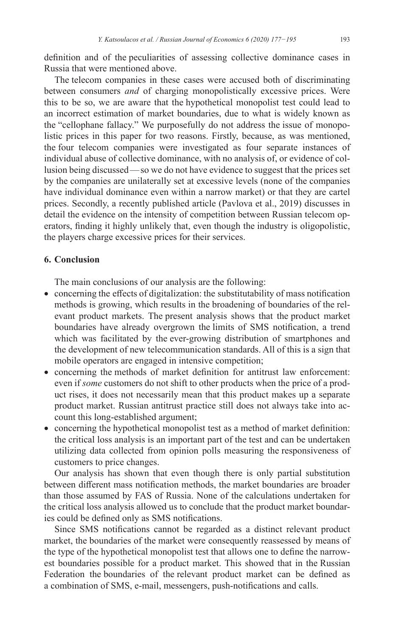definition and of the peculiarities of assessing collective dominance cases in Russia that were mentioned above.

The telecom companies in these cases were accused both of discriminating between consumers *and* of charging monopolistically excessive prices. Were this to be so, we are aware that the hypothetical monopolist test could lead to an incorrect estimation of market boundaries, due to what is widely known as the "cellophane fallacy." We purposefully do not address the issue of monopolistic prices in this paper for two reasons. Firstly, because, as was mentioned, the four telecom companies were investigated as four separate instances of individual abuse of collective dominance, with no analysis of, or evidence of collusion being discussed—so we do not have evidence to suggest that the prices set by the companies are unilaterally set at excessive levels (none of the companies have individual dominance even within a narrow market) or that they are cartel prices. Secondly, a recently published article (Pavlova et al., 2019) discusses in detail the evidence on the intensity of competition between Russian telecom operators, finding it highly unlikely that, even though the industry is oligopolistic, the players charge excessive prices for their services.

# **6. Conclusion**

The main conclusions of our analysis are the following:

- concerning the effects of digitalization: the substitutability of mass notification methods is growing, which results in the broadening of boundaries of the relevant product markets. The present analysis shows that the product market boundaries have already overgrown the limits of SMS notification, a trend which was facilitated by the ever-growing distribution of smartphones and the development of new telecommunication standards. All of this is a sign that mobile operators are engaged in intensive competition;
- concerning the methods of market definition for antitrust law enforcement: even if *some* customers do not shift to other products when the price of a product rises, it does not necessarily mean that this product makes up a separate product market. Russian antitrust practice still does not always take into account this long-established argument;
- concerning the hypothetical monopolist test as a method of market definition: the critical loss analysis is an important part of the test and can be undertaken utilizing data collected from opinion polls measuring the responsiveness of customers to price changes.

Our analysis has shown that even though there is only partial substitution between different mass notification methods, the market boundaries are broader than those assumed by FAS of Russia. None of the calculations undertaken for the critical loss analysis allowed us to conclude that the product market boundaries could be defined only as SMS notifications.

Since SMS notifications cannot be regarded as a distinct relevant product market, the boundaries of the market were consequently reassessed by means of the type of the hypothetical monopolist test that allows one to define the narrow– est boundaries possible for a product market. This showed that in the Russian Federation the boundaries of the relevant product market can be defined as a combination of SMS, e-mail, messengers, push-notifications and calls.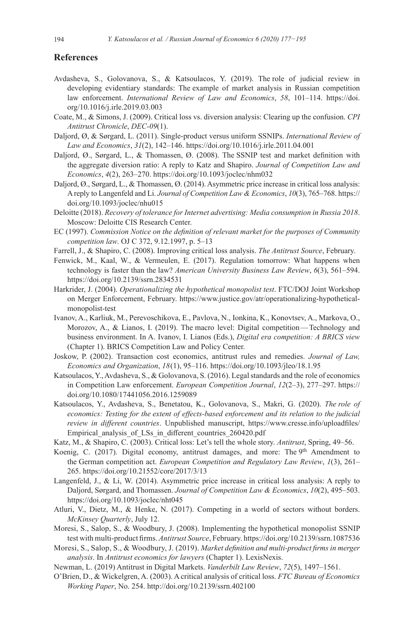#### **References**

- Avdasheva, S., Golovanova, S., & Katsoulacos, Y. (2019). The role of judicial review in developing evidentiary standards: The example of market analysis in Russian competition law enforcement. *International Review of Law and Economics*, *58*, 101–114. [https://doi.](https://doi.org/10.1016/j.irle.2019.03.003) [org/10.1016/j.irle.2019.03.003](https://doi.org/10.1016/j.irle.2019.03.003)
- Coate, M., & Simons, J. (2009). Critical loss vs. diversion analysis: Clearing up the confusion. *CPI Antitrust Chronicle*, *DEC-09*(1).
- Daljord, Ø, & Sørgard, L. (2011). Single-product versus uniform SSNIPs. *International Review of Law and Economics*, *31*(2), 142–146.<https://doi.org/10.1016/j.irle.2011.04.001>
- Daljord, Ø., Sørgard, L., & Thomassen, Ø. (2008). The SSNIP test and market definition with the aggregate diversion ratio: A reply to Katz and Shapiro. *Journal of Competition Law and Economics*, *4*(2), 263–270.<https://doi.org/10.1093/joclec/nhm032>
- Daljord, Ø., Sørgard, L., & Thomassen, Ø. (2014). Asymmetric price increase in critical loss analysis: Areply to Langenfeld and Li. *Journal of Competition Law & Economics*, *10*(3), 765–768. [https://](https://doi.org/10.1093/joclec/nhu015) [doi.org/10.1093/joclec/nhu015](https://doi.org/10.1093/joclec/nhu015)
- Deloitte (2018). *Recovery of tolerance for Internet advertising: Media consumption in Russia 2018*. Moscow: Deloitte CIS Research Center.
- EC (1997). *Commission Notice on the definition of relevant market for the purposes of Community competition law*. OJ C 372, 9.12.1997, p. 5–13
- Farrell, J., & Shapiro, C. (2008). Improving critical loss analysis. *The Antitrust Source*, February.
- Fenwick, M., Kaal, W., & Vermeulen, E. (2017). Regulation tomorrow: What happens when technology is faster than the law? *American University Business Law Review*, *6*(3), 561–594. <https://doi.org/10.2139/ssrn.2834531>
- Harkrider, J. (2004). *Operationalizing the hypothetical monopolist test*. FTC/DOJ Joint Workshop on Merger Enforcement, February. [https://www.justice.gov/atr/operationalizing-hypothetical](https://www.justice.gov/atr/operationalizing-hypothetical-monopolist-test)[monopolist-test](https://www.justice.gov/atr/operationalizing-hypothetical-monopolist-test)
- Ivanov, A., Karliuk, M., Perevoschikova, E., Pavlova, N., Ionkina, K., Konovtsev, A., Markova, O., Morozov, A., & Lianos, I. (2019). The macro level: Digital competition—Technology and business environment. In A. Ivanov, I. Lianos (Eds.), *Digital era competition: A BRICS view* (Chapter 1). BRICS Competition Law and Policy Center.
- Joskow, P. (2002).  Transaction  cost  economics,  antitrust  rules  and  remedies.  *Journal of Law, Economics and Organization*, *18* (1), 95–116. <https://doi.org/10.1093/jleo/18.1.95>
- Katsoulacos, Y., Avdasheva, S., & Golovanova, S. (2016). Legal standards and the role of economics in Competition Law enforcement. *European Competition Journal*, *12*(2–3), 277–297. [https://](https://doi.org/10.1080/17441056.2016.1259089) [doi.org/10.1080/17441056.2016.1259089](https://doi.org/10.1080/17441056.2016.1259089)
- Katsoulacos, Y., Avdasheva, S., Benetatou, K., Golovanova, S., Makri, G. (2020). *The role of economics: Testing for the extent of effects-based enforcement and its relation to the <i>judicial review in different countries*. Unpublished manuscript, [https://www.cresse.info/uploadfiles/](https://www.cresse.info/uploadfiles/Empirical_analysis_of_LSs_in_different_countries_260420.pdf) Empirical analysis of LSs in different countries 260420.pdf
- Katz, M., & Shapiro, C. (2003). Critical loss: Let's tell the whole story. *Antitrust*, Spring, 49–56.
- Koenig, C. (2017). Digital economy, antitrust damages, and more: The  $9<sup>th</sup>$  Amendment to the German competition act. *European Competition and Regulatory Law Review*, *1*(3), 261– 265. <https://doi.org/10.21552/core/2017/3/13>
- Langenfeld, J., & Li, W. (2014). Asymmetric price increase in critical loss analysis: A reply to Daljord, Sørgard, and Thomassen. *Journal of Competition Law & Economics*, *10*(2), 495–503. <https://doi.org/10.1093/joclec/nht045>
- Atluri, V., Dietz, M., & Henke, N. (2017). Competing in a world of sectors without borders. *McKinsey Quarterly*, July 12.
- Moresi, S., Salop, S., & Woodbury, J. (2008). Implementing the hypothetical monopolist SSNIP test with multi-product firms. *Antitrust Source*, February.<https://doi.org/10.2139/ssrn.1087536>
- Moresi, S., Salop, S., & Woodbury, J. (2019). *Market definition and multi-product firms in merger analysis*. In *Antitrust economics for lawyers* (Chapter 1). LexisNexis.
- Newman, L. (2019) Antitrust in Digital Markets. *Vanderbilt Law Review*, *72*(5), 1497–1561.
- O'Brien, D., & Wickelgren, A. (2003). A critical analysis of critical loss. *FTC Bureau of Economics Working Paper*, No. 254.<http://doi.org/10.2139/ssrn.402100>